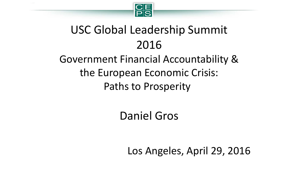

# USC Global Leadership Summit 2016

#### Government Financial Accountability & the European Economic Crisis: Paths to Prosperity

Daniel Gros

Los Angeles, April 29, 2016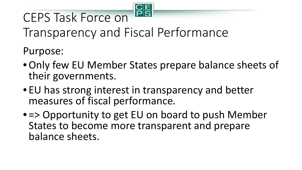

# CEPS Task Force on

Transparency and Fiscal Performance

Purpose:

- •Only few EU Member States prepare balance sheets of their governments.
- EU has strong interest in transparency and better measures of fiscal performance.
- => Opportunity to get EU on board to push Member States to become more transparent and prepare balance sheets.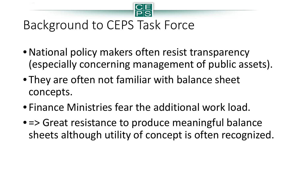

## Background to CEPS Task Force

- National policy makers often resist transparency (especially concerning management of public assets).
- They are often not familiar with balance sheet concepts.
- Finance Ministries fear the additional work load.
- = > Great resistance to produce meaningful balance sheets although utility of concept is often recognized.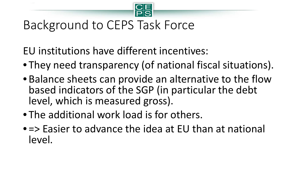

## Background to CEPS Task Force

EU institutions have different incentives:

- They need transparency (of national fiscal situations).
- Balance sheets can provide an alternative to the flow based indicators of the SGP (in particular the debt level, which is measured gross).
- The additional work load is for others.
- => Easier to advance the idea at EU than at national level.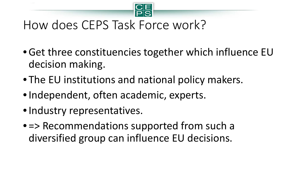

## How does CEPS Task Force work?

- •Get three constituencies together which influence EU decision making.
- The EU institutions and national policy makers.
- Independent, often academic, experts.
- Industry representatives.
- = > Recommendations supported from such a diversified group can influence EU decisions.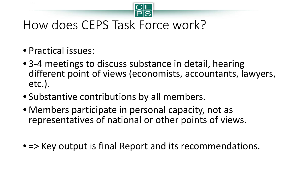

#### How does CEPS Task Force work?

- Practical issues:
- 3-4 meetings to discuss substance in detail, hearing different point of views (economists, accountants, lawyers, etc.).
- Substantive contributions by all members.
- Members participate in personal capacity, not as representatives of national or other points of views.
- => Key output is final Report and its recommendations.